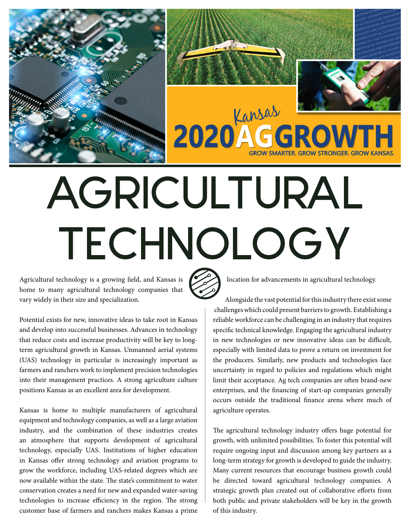



# AGRICULTURAL TECHNOLOGY

Kansas

Agricultural technology is a growing field, and Kansas is home to many agricultural technology companies that vary widely in their size and specialization.

Potential exists for new, innovative ideas to take root in Kansas and develop into successful businesses. Advances in technology that reduce costs and increase productivity will be key to longterm agricultural growth in Kansas. Unmanned aerial systems (UAS) technology in particular is increasingly important as farmers and ranchers work to implement precision technologies into their management practices. A strong agriculture culture positions Kansas as an excellent area for development.

Kansas is home to multiple manufacturers of agricultural equipment and technology companies, as well as a large aviation industry, and the combination of these industries creates an atmosphere that supports development of agricultural technology, especially UAS. Institutions of higher education in Kansas offer strong technology and aviation programs to grow the workforce, including UAS-related degrees which are now available within the state. The state's commitment to water conservation creates a need for new and expanded water-saving technologies to increase efficiency in the region. The strong customer base of farmers and ranchers makes Kansas a prime

location for advancements in agricultural technology.

Alongside the vast potential for this industry there exist some challenges which could present barriers to growth. Establishing a reliable workforce can be challenging in an industry that requires specific technical knowledge. Engaging the agricultural industry in new technologies or new innovative ideas can be difficult, especially with limited data to prove a return on investment for the producers. Similarly, new products and technologies face uncertainty in regard to policies and regulations which might limit their acceptance. Ag tech companies are often brand-new enterprises, and the financing of start-up companies generally occurs outside the traditional finance arena where much of agriculture operates.

The agricultural technology industry offers huge potential for growth, with unlimited possibilities. To foster this potential will require ongoing input and discussion among key partners as a long-term strategy for growth is developed to guide the industry. Many current resources that encourage business growth could be directed toward agricultural technology companies. A strategic growth plan created out of collaborative efforts from both public and private stakeholders will be key in the growth of this industry.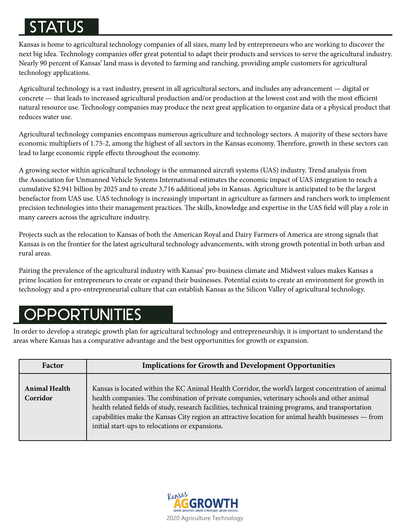## STATUS

Kansas is home to agricultural technology companies of all sizes, many led by entrepreneurs who are working to discover the next big idea. Technology companies offer great potential to adapt their products and services to serve the agricultural industry. Nearly 90 percent of Kansas' land mass is devoted to farming and ranching, providing ample customers for agricultural technology applications.

Agricultural technology is a vast industry, present in all agricultural sectors, and includes any advancement — digital or concrete — that leads to increased agricultural production and/or production at the lowest cost and with the most efficient natural resource use. Technology companies may produce the next great application to organize data or a physical product that reduces water use.

Agricultural technology companies encompass numerous agriculture and technology sectors. A majority of these sectors have economic multipliers of 1.75-2, among the highest of all sectors in the Kansas economy. Therefore, growth in these sectors can lead to large economic ripple effects throughout the economy.

A growing sector within agricultural technology is the unmanned aircraft systems (UAS) industry. Trend analysis from the Association for Unmanned Vehicle Systems International estimates the economic impact of UAS integration to reach a cumulative \$2.941 billion by 2025 and to create 3,716 additional jobs in Kansas. Agriculture is anticipated to be the largest benefactor from UAS use. UAS technology is increasingly important in agriculture as farmers and ranchers work to implement precision technologies into their management practices. The skills, knowledge and expertise in the UAS field will play a role in many careers across the agriculture industry.

Projects such as the relocation to Kansas of both the American Royal and Dairy Farmers of America are strong signals that Kansas is on the frontier for the latest agricultural technology advancements, with strong growth potential in both urban and rural areas.

Pairing the prevalence of the agricultural industry with Kansas' pro-business climate and Midwest values makes Kansas a prime location for entrepreneurs to create or expand their businesses. Potential exists to create an environment for growth in technology and a pro-entrepreneurial culture that can establish Kansas as the Silicon Valley of agricultural technology.

## **OPPORTUNITIES**

In order to develop a strategic growth plan for agricultural technology and entrepreneurship, it is important to understand the areas where Kansas has a comparative advantage and the best opportunities for growth or expansion.

| Factor                           | <b>Implications for Growth and Development Opportunities</b>                                                                                                                                                                                                                                                                                                                                                                                                         |
|----------------------------------|----------------------------------------------------------------------------------------------------------------------------------------------------------------------------------------------------------------------------------------------------------------------------------------------------------------------------------------------------------------------------------------------------------------------------------------------------------------------|
| <b>Animal Health</b><br>Corridor | Kansas is located within the KC Animal Health Corridor, the world's largest concentration of animal<br>health companies. The combination of private companies, veterinary schools and other animal<br>health related fields of study, research facilities, technical training programs, and transportation<br>capabilities make the Kansas City region an attractive location for animal health businesses — from<br>initial start-ups to relocations or expansions. |

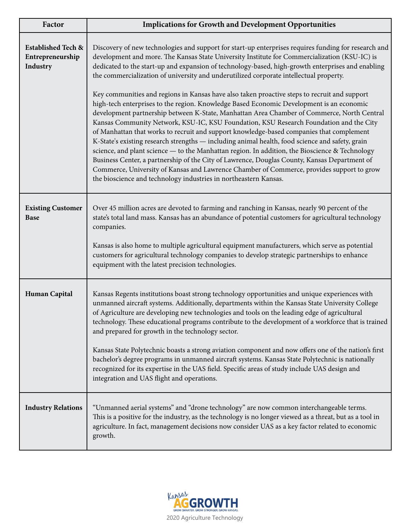| Factor                                                        | <b>Implications for Growth and Development Opportunities</b>                                                                                                                                                                                                                                                                                                                                                                                                                                                                                                                                                                                                                                                                                                                                                                                                                                                                                                                                                                                                                                                                                                                                                                                                                                                                                               |
|---------------------------------------------------------------|------------------------------------------------------------------------------------------------------------------------------------------------------------------------------------------------------------------------------------------------------------------------------------------------------------------------------------------------------------------------------------------------------------------------------------------------------------------------------------------------------------------------------------------------------------------------------------------------------------------------------------------------------------------------------------------------------------------------------------------------------------------------------------------------------------------------------------------------------------------------------------------------------------------------------------------------------------------------------------------------------------------------------------------------------------------------------------------------------------------------------------------------------------------------------------------------------------------------------------------------------------------------------------------------------------------------------------------------------------|
| <b>Established Tech &amp;</b><br>Entrepreneurship<br>Industry | Discovery of new technologies and support for start-up enterprises requires funding for research and<br>development and more. The Kansas State University Institute for Commercialization (KSU-IC) is<br>dedicated to the start-up and expansion of technology-based, high-growth enterprises and enabling<br>the commercialization of university and underutilized corporate intellectual property.<br>Key communities and regions in Kansas have also taken proactive steps to recruit and support<br>high-tech enterprises to the region. Knowledge Based Economic Development is an economic<br>development partnership between K-State, Manhattan Area Chamber of Commerce, North Central<br>Kansas Community Network, KSU-IC, KSU Foundation, KSU Research Foundation and the City<br>of Manhattan that works to recruit and support knowledge-based companies that complement<br>K-State's existing research strengths - including animal health, food science and safety, grain<br>science, and plant science - to the Manhattan region. In addition, the Bioscience & Technology<br>Business Center, a partnership of the City of Lawrence, Douglas County, Kansas Department of<br>Commerce, University of Kansas and Lawrence Chamber of Commerce, provides support to grow<br>the bioscience and technology industries in northeastern Kansas. |
| <b>Existing Customer</b><br><b>Base</b>                       | Over 45 million acres are devoted to farming and ranching in Kansas, nearly 90 percent of the<br>state's total land mass. Kansas has an abundance of potential customers for agricultural technology<br>companies.<br>Kansas is also home to multiple agricultural equipment manufacturers, which serve as potential<br>customers for agricultural technology companies to develop strategic partnerships to enhance<br>equipment with the latest precision technologies.                                                                                                                                                                                                                                                                                                                                                                                                                                                                                                                                                                                                                                                                                                                                                                                                                                                                                  |
| <b>Human Capital</b>                                          | Kansas Regents institutions boast strong technology opportunities and unique experiences with<br>unmanned aircraft systems. Additionally, departments within the Kansas State University College<br>of Agriculture are developing new technologies and tools on the leading edge of agricultural<br>technology. These educational programs contribute to the development of a workforce that is trained<br>and prepared for growth in the technology sector.<br>Kansas State Polytechnic boasts a strong aviation component and now offers one of the nation's first<br>bachelor's degree programs in unmanned aircraft systems. Kansas State Polytechnic is nationally<br>recognized for its expertise in the UAS field. Specific areas of study include UAS design and<br>integration and UAS flight and operations.                                                                                                                                                                                                                                                                                                                                                                                                                                                                                                                                     |
| <b>Industry Relations</b>                                     | "Unmanned aerial systems" and "drone technology" are now common interchangeable terms.<br>This is a positive for the industry, as the technology is no longer viewed as a threat, but as a tool in<br>agriculture. In fact, management decisions now consider UAS as a key factor related to economic<br>growth.                                                                                                                                                                                                                                                                                                                                                                                                                                                                                                                                                                                                                                                                                                                                                                                                                                                                                                                                                                                                                                           |

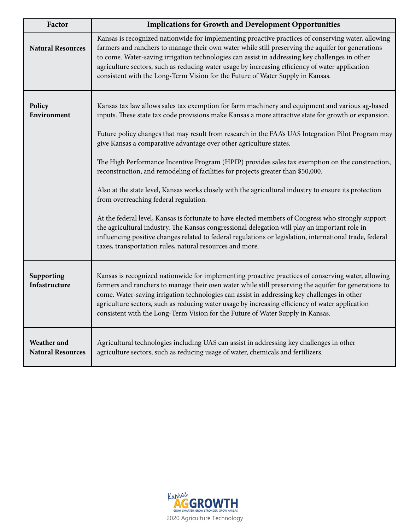| Factor                                  | <b>Implications for Growth and Development Opportunities</b>                                                                                                                                                                                                                                                                                                                                                                                                                                                                                                                                                                                                                                                                                                                                                                       |
|-----------------------------------------|------------------------------------------------------------------------------------------------------------------------------------------------------------------------------------------------------------------------------------------------------------------------------------------------------------------------------------------------------------------------------------------------------------------------------------------------------------------------------------------------------------------------------------------------------------------------------------------------------------------------------------------------------------------------------------------------------------------------------------------------------------------------------------------------------------------------------------|
| <b>Natural Resources</b>                | Kansas is recognized nationwide for implementing proactive practices of conserving water, allowing<br>farmers and ranchers to manage their own water while still preserving the aquifer for generations<br>to come. Water-saving irrigation technologies can assist in addressing key challenges in other<br>agriculture sectors, such as reducing water usage by increasing efficiency of water application<br>consistent with the Long-Term Vision for the Future of Water Supply in Kansas.                                                                                                                                                                                                                                                                                                                                     |
| Policy<br>Environment                   | Kansas tax law allows sales tax exemption for farm machinery and equipment and various ag-based<br>inputs. These state tax code provisions make Kansas a more attractive state for growth or expansion.<br>Future policy changes that may result from research in the FAA's UAS Integration Pilot Program may<br>give Kansas a comparative advantage over other agriculture states.<br>The High Performance Incentive Program (HPIP) provides sales tax exemption on the construction,<br>reconstruction, and remodeling of facilities for projects greater than \$50,000.<br>Also at the state level, Kansas works closely with the agricultural industry to ensure its protection<br>from overreaching federal regulation.<br>At the federal level, Kansas is fortunate to have elected members of Congress who strongly support |
|                                         | the agricultural industry. The Kansas congressional delegation will play an important role in<br>influencing positive changes related to federal regulations or legislation, international trade, federal<br>taxes, transportation rules, natural resources and more.                                                                                                                                                                                                                                                                                                                                                                                                                                                                                                                                                              |
| Supporting<br>Infastructure             | Kansas is recognized nationwide for implementing proactive practices of conserving water, allowing<br>farmers and ranchers to manage their own water while still preserving the aquifer for generations to<br>come. Water-saving irrigation technologies can assist in addressing key challenges in other<br>agriculture sectors, such as reducing water usage by increasing efficiency of water application<br>consistent with the Long-Term Vision for the Future of Water Supply in Kansas.                                                                                                                                                                                                                                                                                                                                     |
| Weather and<br><b>Natural Resources</b> | Agricultural technologies including UAS can assist in addressing key challenges in other<br>agriculture sectors, such as reducing usage of water, chemicals and fertilizers.                                                                                                                                                                                                                                                                                                                                                                                                                                                                                                                                                                                                                                                       |

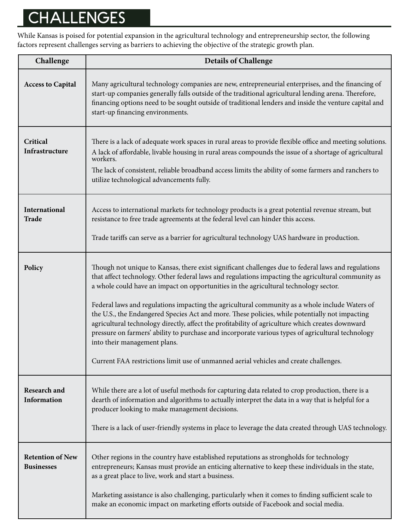# **CHALLENGES**

While Kansas is poised for potential expansion in the agricultural technology and entrepreneurship sector, the following factors represent challenges serving as barriers to achieving the objective of the strategic growth plan.

| Challenge                                    | <b>Details of Challenge</b>                                                                                                                                                                                                                                                                                                                                                                                                                                                                                                                                                                                                                                                                                                                                                                                                             |
|----------------------------------------------|-----------------------------------------------------------------------------------------------------------------------------------------------------------------------------------------------------------------------------------------------------------------------------------------------------------------------------------------------------------------------------------------------------------------------------------------------------------------------------------------------------------------------------------------------------------------------------------------------------------------------------------------------------------------------------------------------------------------------------------------------------------------------------------------------------------------------------------------|
| <b>Access to Capital</b>                     | Many agricultural technology companies are new, entrepreneurial enterprises, and the financing of<br>start-up companies generally falls outside of the traditional agricultural lending arena. Therefore,<br>financing options need to be sought outside of traditional lenders and inside the venture capital and<br>start-up financing environments.                                                                                                                                                                                                                                                                                                                                                                                                                                                                                  |
| Critical<br>Infrastructure                   | There is a lack of adequate work spaces in rural areas to provide flexible office and meeting solutions.<br>A lack of affordable, livable housing in rural areas compounds the issue of a shortage of agricultural<br>workers.<br>The lack of consistent, reliable broadband access limits the ability of some farmers and ranchers to<br>utilize technological advancements fully.                                                                                                                                                                                                                                                                                                                                                                                                                                                     |
| International<br><b>Trade</b>                | Access to international markets for technology products is a great potential revenue stream, but<br>resistance to free trade agreements at the federal level can hinder this access.<br>Trade tariffs can serve as a barrier for agricultural technology UAS hardware in production.                                                                                                                                                                                                                                                                                                                                                                                                                                                                                                                                                    |
| Policy                                       | Though not unique to Kansas, there exist significant challenges due to federal laws and regulations<br>that affect technology. Other federal laws and regulations impacting the agricultural community as<br>a whole could have an impact on opportunities in the agricultural technology sector.<br>Federal laws and regulations impacting the agricultural community as a whole include Waters of<br>the U.S., the Endangered Species Act and more. These policies, while potentially not impacting<br>agricultural technology directly, affect the profitability of agriculture which creates downward<br>pressure on farmers' ability to purchase and incorporate various types of agricultural technology<br>into their management plans.<br>Current FAA restrictions limit use of unmanned aerial vehicles and create challenges. |
| <b>Research and</b><br>Information           | While there are a lot of useful methods for capturing data related to crop production, there is a<br>dearth of information and algorithms to actually interpret the data in a way that is helpful for a<br>producer looking to make management decisions.<br>There is a lack of user-friendly systems in place to leverage the data created through UAS technology.                                                                                                                                                                                                                                                                                                                                                                                                                                                                     |
| <b>Retention of New</b><br><b>Businesses</b> | Other regions in the country have established reputations as strongholds for technology<br>entrepreneurs; Kansas must provide an enticing alternative to keep these individuals in the state,<br>as a great place to live, work and start a business.<br>Marketing assistance is also challenging, particularly when it comes to finding sufficient scale to<br>make an economic impact on marketing efforts outside of Facebook and social media.                                                                                                                                                                                                                                                                                                                                                                                      |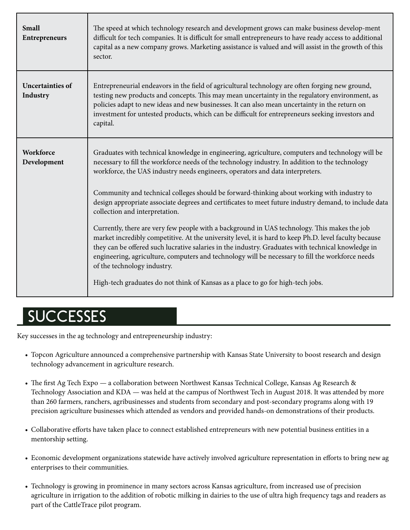| <b>Small</b><br><b>Entrepreneurs</b> | The speed at which technology research and development grows can make business develop-ment<br>difficult for tech companies. It is difficult for small entrepreneurs to have ready access to additional<br>capital as a new company grows. Marketing assistance is valued and will assist in the growth of this<br>sector.                                                                                                                                                                                                                                                                                                                                                                                                                                                                                                                                                                                                                                                                                                                                          |
|--------------------------------------|---------------------------------------------------------------------------------------------------------------------------------------------------------------------------------------------------------------------------------------------------------------------------------------------------------------------------------------------------------------------------------------------------------------------------------------------------------------------------------------------------------------------------------------------------------------------------------------------------------------------------------------------------------------------------------------------------------------------------------------------------------------------------------------------------------------------------------------------------------------------------------------------------------------------------------------------------------------------------------------------------------------------------------------------------------------------|
| <b>Uncertainties of</b><br>Industry  | Entrepreneurial endeavors in the field of agricultural technology are often forging new ground,<br>testing new products and concepts. This may mean uncertainty in the regulatory environment, as<br>policies adapt to new ideas and new businesses. It can also mean uncertainty in the return on<br>investment for untested products, which can be difficult for entrepreneurs seeking investors and<br>capital.                                                                                                                                                                                                                                                                                                                                                                                                                                                                                                                                                                                                                                                  |
| Workforce<br>Development             | Graduates with technical knowledge in engineering, agriculture, computers and technology will be<br>necessary to fill the workforce needs of the technology industry. In addition to the technology<br>workforce, the UAS industry needs engineers, operators and data interpreters.<br>Community and technical colleges should be forward-thinking about working with industry to<br>design appropriate associate degrees and certificates to meet future industry demand, to include data<br>collection and interpretation.<br>Currently, there are very few people with a background in UAS technology. This makes the job<br>market incredibly competitive. At the university level, it is hard to keep Ph.D. level faculty because<br>they can be offered such lucrative salaries in the industry. Graduates with technical knowledge in<br>engineering, agriculture, computers and technology will be necessary to fill the workforce needs<br>of the technology industry.<br>High-tech graduates do not think of Kansas as a place to go for high-tech jobs. |

## **SUCCESSES**

Key successes in the ag technology and entrepreneurship industry:

- Topcon Agriculture announced a comprehensive partnership with Kansas State University to boost research and design technology advancement in agriculture research.
- The first Ag Tech Expo a collaboration between Northwest Kansas Technical College, Kansas Ag Research & Technology Association and KDA — was held at the campus of Northwest Tech in August 2018. It was attended by more than 260 farmers, ranchers, agribusinesses and students from secondary and post-secondary programs along with 19 precision agriculture businesses which attended as vendors and provided hands-on demonstrations of their products.
- Collaborative efforts have taken place to connect established entrepreneurs with new potential business entities in a mentorship setting.
- Economic development organizations statewide have actively involved agriculture representation in efforts to bring new ag enterprises to their communities.
- Technology is growing in prominence in many sectors across Kansas agriculture, from increased use of precision agriculture in irrigation to the addition of robotic milking in dairies to the use of ultra high frequency tags and readers as part of the CattleTrace pilot program.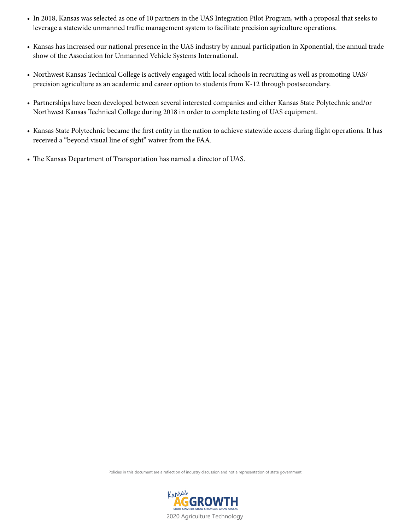- In 2018, Kansas was selected as one of 10 partners in the UAS Integration Pilot Program, with a proposal that seeks to leverage a statewide unmanned traffic management system to facilitate precision agriculture operations.
- Kansas has increased our national presence in the UAS industry by annual participation in Xponential, the annual trade show of the Association for Unmanned Vehicle Systems International.
- Northwest Kansas Technical College is actively engaged with local schools in recruiting as well as promoting UAS/ precision agriculture as an academic and career option to students from K-12 through postsecondary.
- Partnerships have been developed between several interested companies and either Kansas State Polytechnic and/or Northwest Kansas Technical College during 2018 in order to complete testing of UAS equipment.
- Kansas State Polytechnic became the first entity in the nation to achieve statewide access during flight operations. It has received a "beyond visual line of sight" waiver from the FAA.
- The Kansas Department of Transportation has named a director of UAS.

Policies in this document are a reflection of industry discussion and not a representation of state government

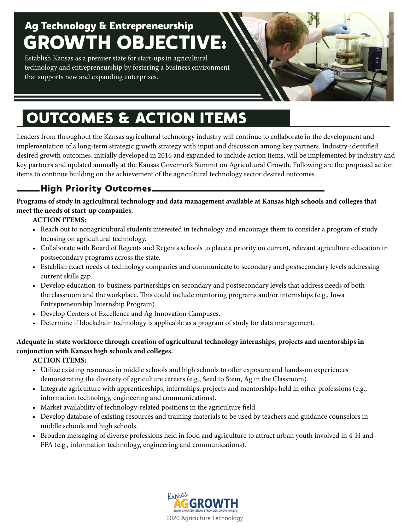## Ag Technology & Entrepreneurship GROWTH OBJECTIVE:

Establish Kansas as a premier state for start-ups in agricultural technology and entrepreneurship by fostering a business environment that supports new and expanding enterprises.

# OUTCOMES & ACTION ITEMS

Leaders from throughout the Kansas agricultural technology industry will continue to collaborate in the development and implementation of a long-term strategic growth strategy with input and discussion among key partners. Industry-identified desired growth outcomes, initially developed in 2016 and expanded to include action items, will be implemented by industry and key partners and updated annually at the Kansas Governor's Summit on Agricultural Growth. Following are the proposed action items to continue building on the achievement of the agricultural technology sector desired outcomes.

## High Priority Outcomes

**Programs of study in agricultural technology and data management available at Kansas high schools and colleges that meet the needs of start-up companies.**

#### **ACTION ITEMS:**

- Reach out to nonagricultural students interested in technology and encourage them to consider a program of study focusing on agricultural technology.
- Collaborate with Board of Regents and Regents schools to place a priority on current, relevant agriculture education in postsecondary programs across the state.
- Establish exact needs of technology companies and communicate to secondary and postsecondary levels addressing current skills gap.
- Develop education-to-business partnerships on secondary and postsecondary levels that address needs of both the classroom and the workplace. This could include mentoring programs and/or internships (e.g., Iowa Entrepreneurship Internship Program).
- Develop Centers of Excellence and Ag Innovation Campuses.
- Determine if blockchain technology is applicable as a program of study for data management.

#### **Adequate in-state workforce through creation of agricultural technology internships, projects and mentorships in conjunction with Kansas high schools and colleges.**

- Utilize existing resources in middle schools and high schools to offer exposure and hands-on experiences demonstrating the diversity of agriculture careers (e.g., Seed to Stem, Ag in the Classroom).
- Integrate agriculture with apprenticeships, internships, projects and mentorships held in other professions (e.g., information technology, engineering and communications).
- Market availability of technology-related positions in the agriculture field.
- Develop database of existing resources and training materials to be used by teachers and guidance counselors in middle schools and high schools.
- Broaden messaging of diverse professions held in food and agriculture to attract urban youth involved in 4-H and FFA (e.g., information technology, engineering and communications).

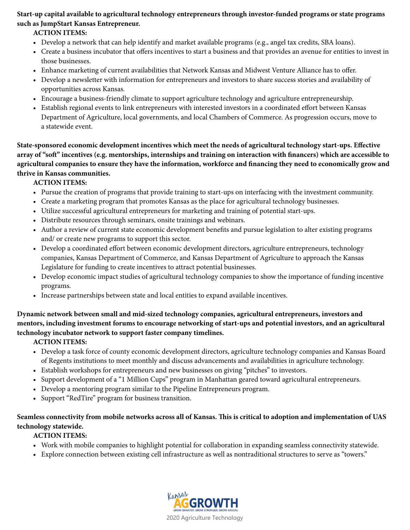#### **Start-up capital available to agricultural technology entrepreneurs through investor-funded programs or state programs such as JumpStart Kansas Entrepreneur.**

#### **ACTION ITEMS:**

- Develop a network that can help identify and market available programs (e.g., angel tax credits, SBA loans).
- Create a business incubator that offers incentives to start a business and that provides an avenue for entities to invest in those businesses.
- Enhance marketing of current availabilities that Network Kansas and Midwest Venture Alliance has to offer.
- Develop a newsletter with information for entrepreneurs and investors to share success stories and availability of opportunities across Kansas.
- Encourage a business-friendly climate to support agriculture technology and agriculture entrepreneurship.
- Establish regional events to link entrepreneurs with interested investors in a coordinated effort between Kansas Department of Agriculture, local governments, and local Chambers of Commerce. As progression occurs, move to a statewide event.

**State-sponsored economic development incentives which meet the needs of agricultural technology start-ups. Effective array of "soft" incentives (e.g. mentorships, internships and training on interaction with financers) which are accessible to agricultural companies to ensure they have the information, workforce and financing they need to economically grow and thrive in Kansas communities.**

#### **ACTION ITEMS:**

- Pursue the creation of programs that provide training to start-ups on interfacing with the investment community.
- Create a marketing program that promotes Kansas as the place for agricultural technology businesses.
- Utilize successful agricultural entrepreneurs for marketing and training of potential start-ups.
- Distribute resources through seminars, onsite trainings and webinars.
- Author a review of current state economic development benefits and pursue legislation to alter existing programs and/ or create new programs to support this sector.
- Develop a coordinated effort between economic development directors, agriculture entrepreneurs, technology companies, Kansas Department of Commerce, and Kansas Department of Agriculture to approach the Kansas Legislature for funding to create incentives to attract potential businesses.
- Develop economic impact studies of agricultural technology companies to show the importance of funding incentive programs.
- Increase partnerships between state and local entities to expand available incentives.

**Dynamic network between small and mid-sized technology companies, agricultural entrepreneurs, investors and mentors, including investment forums to encourage networking of start-ups and potential investors, and an agricultural technology incubator network to support faster company timelines.**

**ACTION ITEMS:**

- Develop a task force of county economic development directors, agriculture technology companies and Kansas Board of Regents institutions to meet monthly and discuss advancements and availabilities in agriculture technology.
- Establish workshops for entrepreneurs and new businesses on giving "pitches" to investors.
- Support development of a "1 Million Cups" program in Manhattan geared toward agricultural entrepreneurs.
- Develop a mentoring program similar to the Pipeline Entrepreneurs program.
- Support "RedTire" program for business transition.

#### **Seamless connectivity from mobile networks across all of Kansas. This is critical to adoption and implementation of UAS technology statewide.**

- Work with mobile companies to highlight potential for collaboration in expanding seamless connectivity statewide.
- Explore connection between existing cell infrastructure as well as nontraditional structures to serve as "towers."

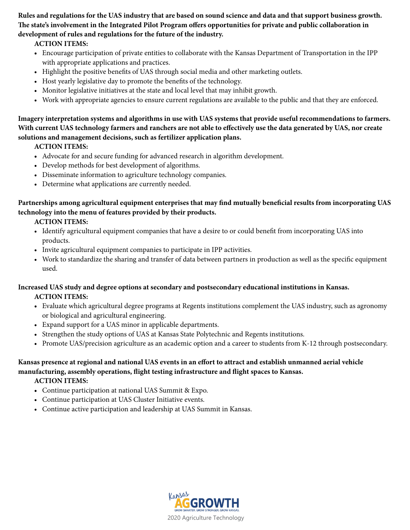**Rules and regulations for the UAS industry that are based on sound science and data and that support business growth. The state's involvement in the Integrated Pilot Program offers opportunities for private and public collaboration in development of rules and regulations for the future of the industry.**

#### **ACTION ITEMS:**

- **•** Encourage participation of private entities to collaborate with the Kansas Department of Transportation in the IPP with appropriate applications and practices.
- Highlight the positive benefits of UAS through social media and other marketing outlets.
- Host yearly legislative day to promote the benefits of the technology.
- Monitor legislative initiatives at the state and local level that may inhibit growth.
- Work with appropriate agencies to ensure current regulations are available to the public and that they are enforced.

**Imagery interpretation systems and algorithms in use with UAS systems that provide useful recommendations to farmers. With current UAS technology farmers and ranchers are not able to effectively use the data generated by UAS, nor create solutions and management decisions, such as fertilizer application plans.**

**ACTION ITEMS:**

- **•** Advocate for and secure funding for advanced research in algorithm development.
- Develop methods for best development of algorithms.
- Disseminate information to agriculture technology companies.
- Determine what applications are currently needed.

#### **Partnerships among agricultural equipment enterprises that may find mutually beneficial results from incorporating UAS technology into the menu of features provided by their products.**

**ACTION ITEMS:**

- Identify agricultural equipment companies that have a desire to or could benefit from incorporating UAS into products.
- Invite agricultural equipment companies to participate in IPP activities.
- Work to standardize the sharing and transfer of data between partners in production as well as the specific equipment used.

#### **Increased UAS study and degree options at secondary and postsecondary educational institutions in Kansas. ACTION ITEMS:**

- **•** Evaluate which agricultural degree programs at Regents institutions complement the UAS industry, such as agronomy or biological and agricultural engineering.
- Expand support for a UAS minor in applicable departments.
- Strengthen the study options of UAS at Kansas State Polytechnic and Regents institutions.
- Promote UAS/precision agriculture as an academic option and a career to students from K-12 through postsecondary.

#### **Kansas presence at regional and national UAS events in an effort to attract and establish unmanned aerial vehicle manufacturing, assembly operations, flight testing infrastructure and flight spaces to Kansas.**

- **•** Continue participation at national UAS Summit & Expo.
- Continue participation at UAS Cluster Initiative events.
- Continue active participation and leadership at UAS Summit in Kansas.